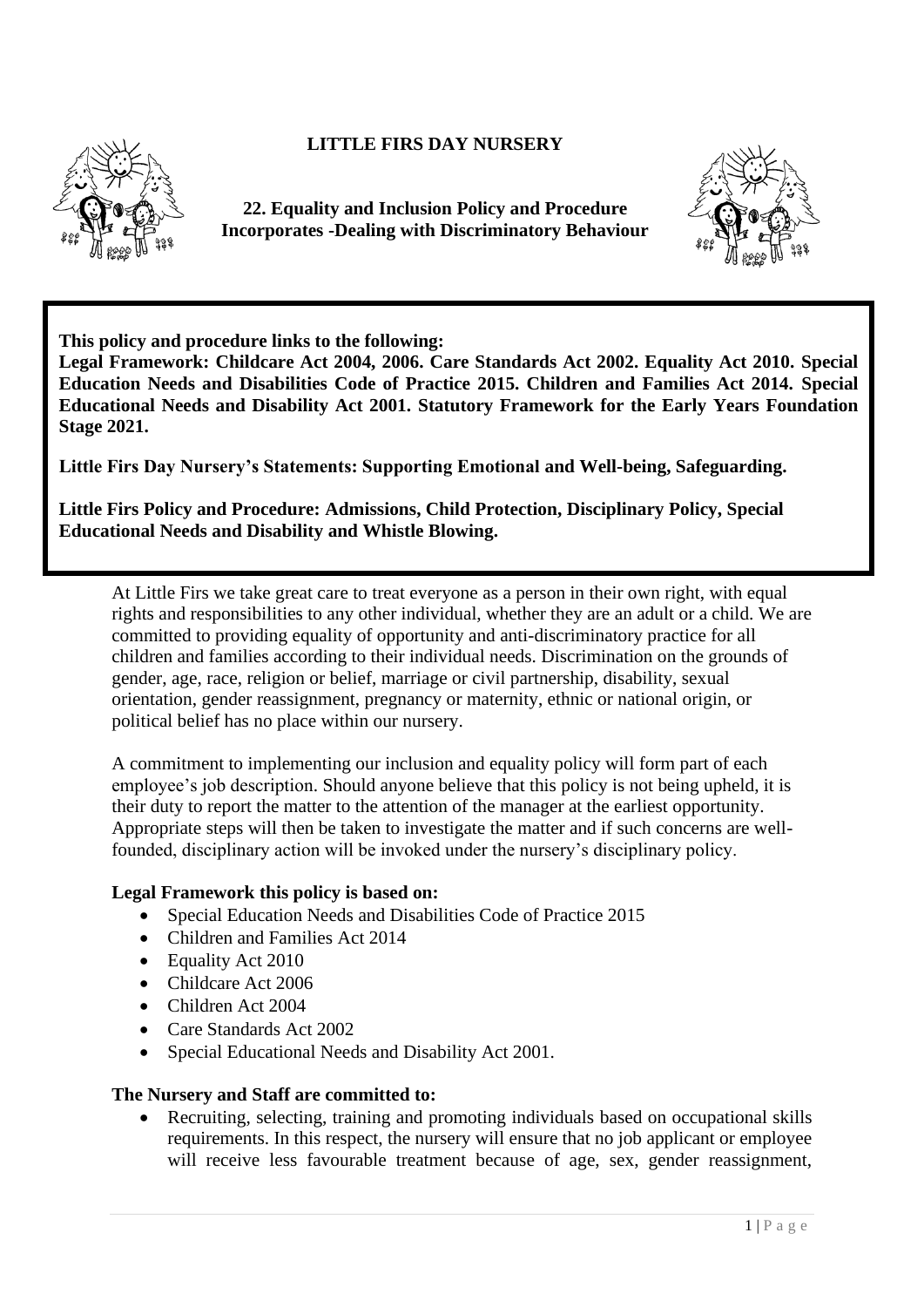## **LITTLE FIRS DAY NURSERY**



**22. Equality and Inclusion Policy and Procedure Incorporates -Dealing with Discriminatory Behaviour** 



**This policy and procedure links to the following:** 

**Legal Framework: Childcare Act 2004, 2006. Care Standards Act 2002. Equality Act 2010. Special Education Needs and Disabilities Code of Practice 2015. Children and Families Act 2014. Special Educational Needs and Disability Act 2001. Statutory Framework for the Early Years Foundation Stage 2021.**

**Little Firs Day Nursery's Statements: Supporting Emotional and Well-being, Safeguarding.**

**Little Firs Policy and Procedure: Admissions, Child Protection, Disciplinary Policy, Special Educational Needs and Disability and Whistle Blowing.**

At Little Firs we take great care to treat everyone as a person in their own right, with equal rights and responsibilities to any other individual, whether they are an adult or a child. We are committed to providing equality of opportunity and anti-discriminatory practice for all children and families according to their individual needs. Discrimination on the grounds of gender, age, race, religion or belief, marriage or civil partnership, disability, sexual orientation, gender reassignment, pregnancy or maternity, ethnic or national origin, or political belief has no place within our nursery.

A commitment to implementing our inclusion and equality policy will form part of each employee's job description. Should anyone believe that this policy is not being upheld, it is their duty to report the matter to the attention of the manager at the earliest opportunity. Appropriate steps will then be taken to investigate the matter and if such concerns are wellfounded, disciplinary action will be invoked under the nursery's disciplinary policy.

## **Legal Framework this policy is based on:**

- Special Education Needs and Disabilities Code of Practice 2015
- Children and Families Act 2014
- Equality Act 2010
- Childcare Act 2006
- Children Act 2004
- Care Standards Act 2002
- Special Educational Needs and Disability Act 2001.

#### **The Nursery and Staff are committed to:**

• Recruiting, selecting, training and promoting individuals based on occupational skills requirements. In this respect, the nursery will ensure that no job applicant or employee will receive less favourable treatment because of age, sex, gender reassignment,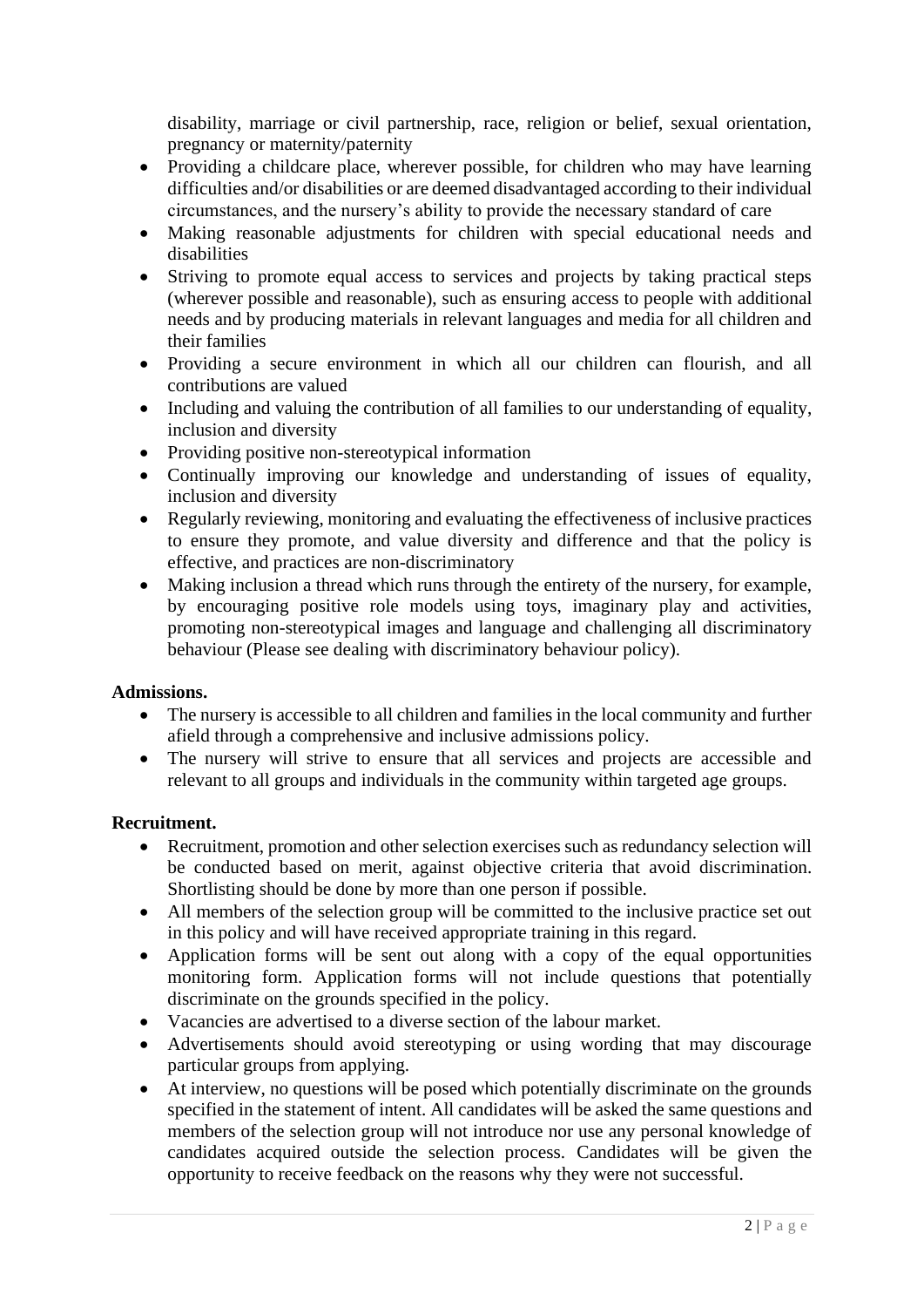disability, marriage or civil partnership, race, religion or belief, sexual orientation, pregnancy or maternity/paternity

- Providing a childcare place, wherever possible, for children who may have learning difficulties and/or disabilities or are deemed disadvantaged according to their individual circumstances, and the nursery's ability to provide the necessary standard of care
- Making reasonable adjustments for children with special educational needs and disabilities
- Striving to promote equal access to services and projects by taking practical steps (wherever possible and reasonable), such as ensuring access to people with additional needs and by producing materials in relevant languages and media for all children and their families
- Providing a secure environment in which all our children can flourish, and all contributions are valued
- Including and valuing the contribution of all families to our understanding of equality, inclusion and diversity
- Providing positive non-stereotypical information
- Continually improving our knowledge and understanding of issues of equality, inclusion and diversity
- Regularly reviewing, monitoring and evaluating the effectiveness of inclusive practices to ensure they promote, and value diversity and difference and that the policy is effective, and practices are non-discriminatory
- Making inclusion a thread which runs through the entirety of the nursery, for example, by encouraging positive role models using toys, imaginary play and activities, promoting non-stereotypical images and language and challenging all discriminatory behaviour (Please see dealing with discriminatory behaviour policy).

#### **Admissions.**

- The nursery is accessible to all children and families in the local community and further afield through a comprehensive and inclusive admissions policy.
- The nursery will strive to ensure that all services and projects are accessible and relevant to all groups and individuals in the community within targeted age groups.

## **Recruitment.**

- Recruitment, promotion and other selection exercises such as redundancy selection will be conducted based on merit, against objective criteria that avoid discrimination. Shortlisting should be done by more than one person if possible.
- All members of the selection group will be committed to the inclusive practice set out in this policy and will have received appropriate training in this regard.
- Application forms will be sent out along with a copy of the equal opportunities monitoring form. Application forms will not include questions that potentially discriminate on the grounds specified in the policy.
- Vacancies are advertised to a diverse section of the labour market.
- Advertisements should avoid stereotyping or using wording that may discourage particular groups from applying.
- At interview, no questions will be posed which potentially discriminate on the grounds specified in the statement of intent. All candidates will be asked the same questions and members of the selection group will not introduce nor use any personal knowledge of candidates acquired outside the selection process. Candidates will be given the opportunity to receive feedback on the reasons why they were not successful.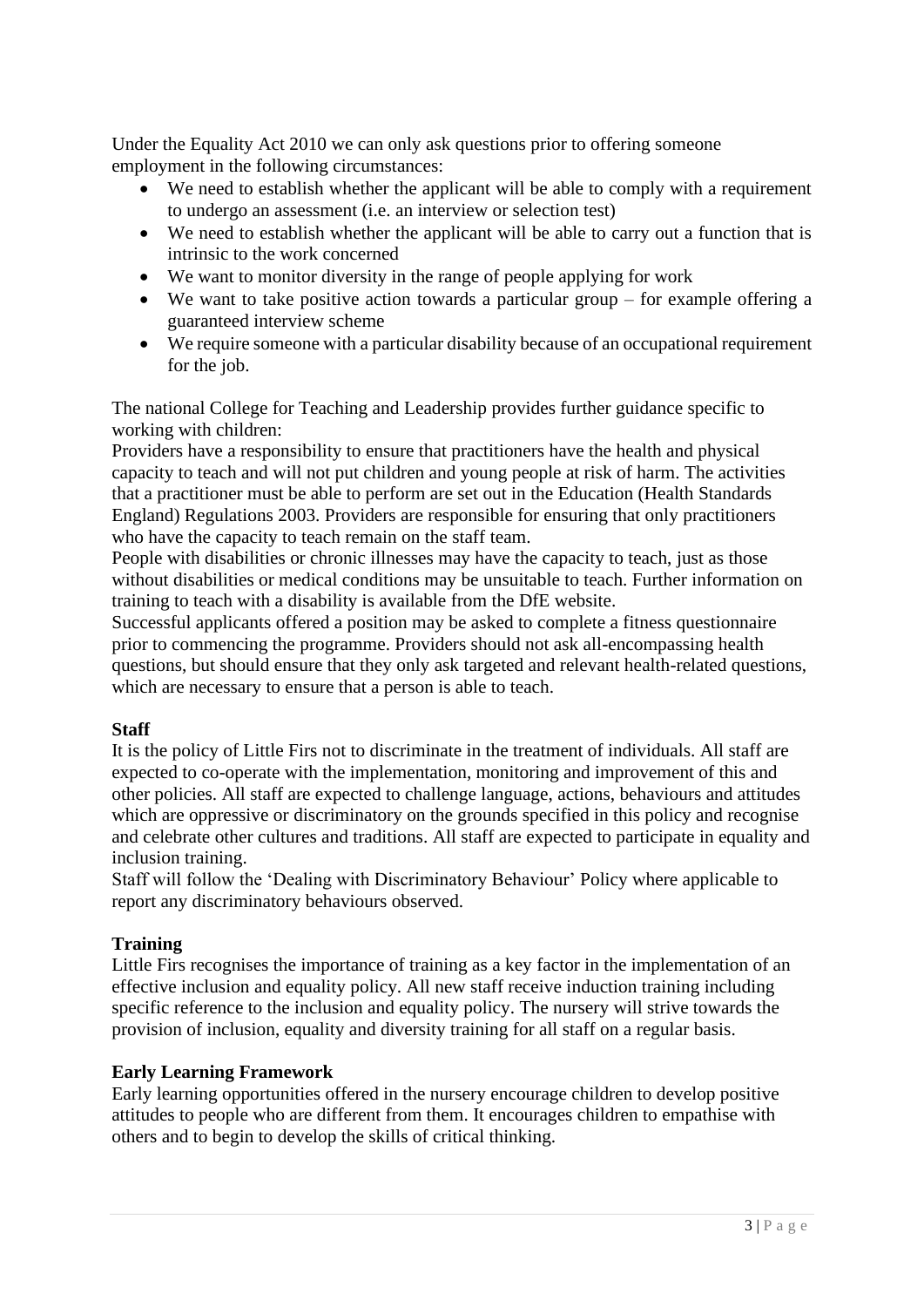Under the Equality Act 2010 we can only ask questions prior to offering someone employment in the following circumstances:

- We need to establish whether the applicant will be able to comply with a requirement to undergo an assessment (i.e. an interview or selection test)
- We need to establish whether the applicant will be able to carry out a function that is intrinsic to the work concerned
- We want to monitor diversity in the range of people applying for work
- We want to take positive action towards a particular group for example offering a guaranteed interview scheme
- We require someone with a particular disability because of an occupational requirement for the job.

The national College for Teaching and Leadership provides further guidance specific to working with children:

Providers have a responsibility to ensure that practitioners have the health and physical capacity to teach and will not put children and young people at risk of harm. The activities that a practitioner must be able to perform are set out in the Education (Health Standards England) Regulations 2003. Providers are responsible for ensuring that only practitioners who have the capacity to teach remain on the staff team.

People with disabilities or chronic illnesses may have the capacity to teach, just as those without disabilities or medical conditions may be unsuitable to teach. Further information on training to teach with a disability is available from the DfE website.

Successful applicants offered a position may be asked to complete a fitness questionnaire prior to commencing the programme. Providers should not ask all-encompassing health questions, but should ensure that they only ask targeted and relevant health-related questions, which are necessary to ensure that a person is able to teach.

## **Staff**

It is the policy of Little Firs not to discriminate in the treatment of individuals. All staff are expected to co-operate with the implementation, monitoring and improvement of this and other policies. All staff are expected to challenge language, actions, behaviours and attitudes which are oppressive or discriminatory on the grounds specified in this policy and recognise and celebrate other cultures and traditions. All staff are expected to participate in equality and inclusion training.

Staff will follow the 'Dealing with Discriminatory Behaviour' Policy where applicable to report any discriminatory behaviours observed.

## **Training**

Little Firs recognises the importance of training as a key factor in the implementation of an effective inclusion and equality policy. All new staff receive induction training including specific reference to the inclusion and equality policy. The nursery will strive towards the provision of inclusion, equality and diversity training for all staff on a regular basis.

## **Early Learning Framework**

Early learning opportunities offered in the nursery encourage children to develop positive attitudes to people who are different from them. It encourages children to empathise with others and to begin to develop the skills of critical thinking.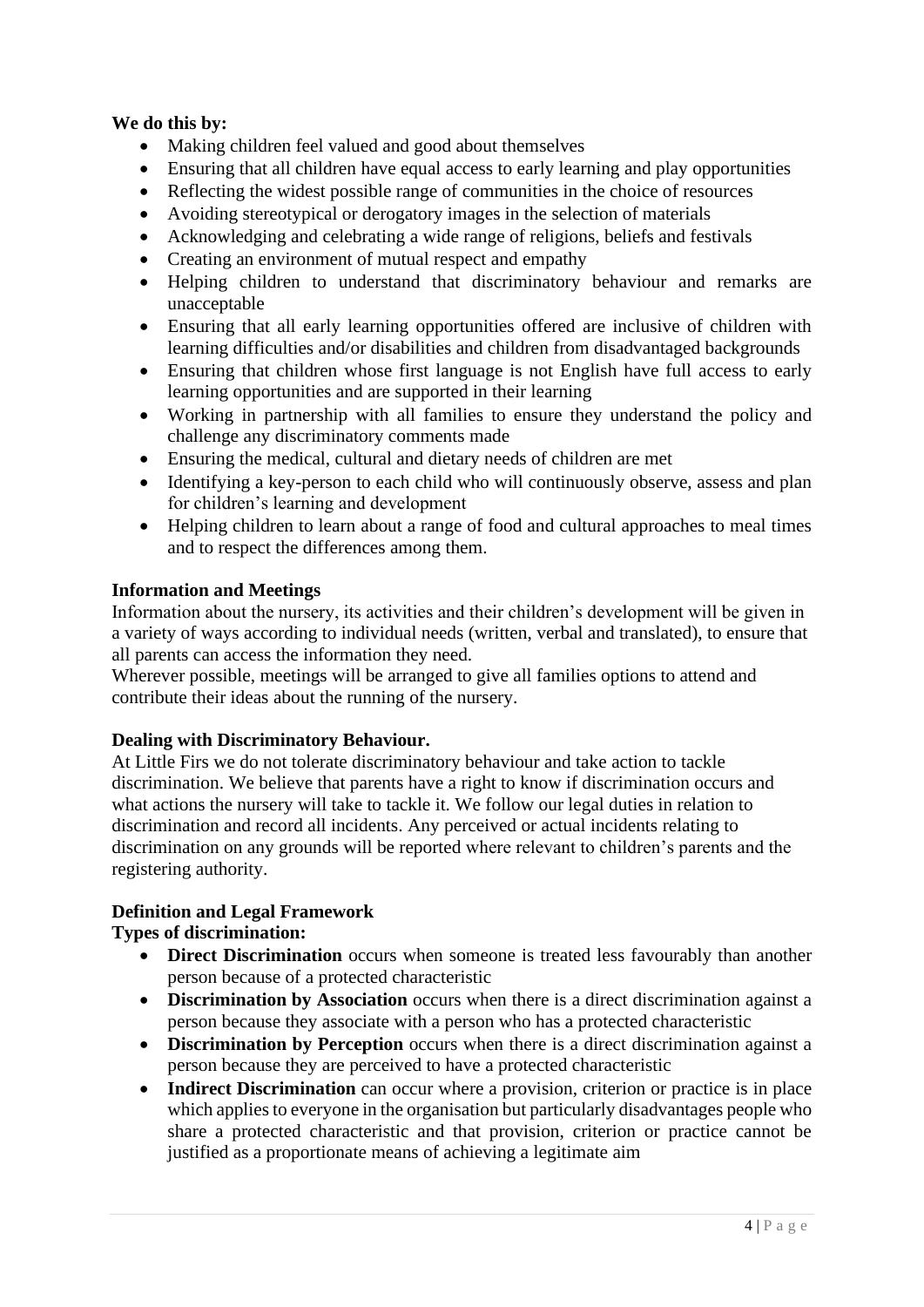# **We do this by:**

- Making children feel valued and good about themselves
- Ensuring that all children have equal access to early learning and play opportunities
- Reflecting the widest possible range of communities in the choice of resources
- Avoiding stereotypical or derogatory images in the selection of materials
- Acknowledging and celebrating a wide range of religions, beliefs and festivals
- Creating an environment of mutual respect and empathy
- Helping children to understand that discriminatory behaviour and remarks are unacceptable
- Ensuring that all early learning opportunities offered are inclusive of children with learning difficulties and/or disabilities and children from disadvantaged backgrounds
- Ensuring that children whose first language is not English have full access to early learning opportunities and are supported in their learning
- Working in partnership with all families to ensure they understand the policy and challenge any discriminatory comments made
- Ensuring the medical, cultural and dietary needs of children are met
- Identifying a key-person to each child who will continuously observe, assess and plan for children's learning and development
- Helping children to learn about a range of food and cultural approaches to meal times and to respect the differences among them.

#### **Information and Meetings**

Information about the nursery, its activities and their children's development will be given in a variety of ways according to individual needs (written, verbal and translated), to ensure that all parents can access the information they need.

Wherever possible, meetings will be arranged to give all families options to attend and contribute their ideas about the running of the nursery.

## **Dealing with Discriminatory Behaviour.**

At Little Firs we do not tolerate discriminatory behaviour and take action to tackle discrimination. We believe that parents have a right to know if discrimination occurs and what actions the nursery will take to tackle it. We follow our legal duties in relation to discrimination and record all incidents. Any perceived or actual incidents relating to discrimination on any grounds will be reported where relevant to children's parents and the registering authority.

## **Definition and Legal Framework**

## **Types of discrimination:**

- **Direct Discrimination** occurs when someone is treated less favourably than another person because of a protected characteristic
- **Discrimination by Association** occurs when there is a direct discrimination against a person because they associate with a person who has a protected characteristic
- **Discrimination by Perception** occurs when there is a direct discrimination against a person because they are perceived to have a protected characteristic
- **Indirect Discrimination** can occur where a provision, criterion or practice is in place which applies to everyone in the organisation but particularly disadvantages people who share a protected characteristic and that provision, criterion or practice cannot be justified as a proportionate means of achieving a legitimate aim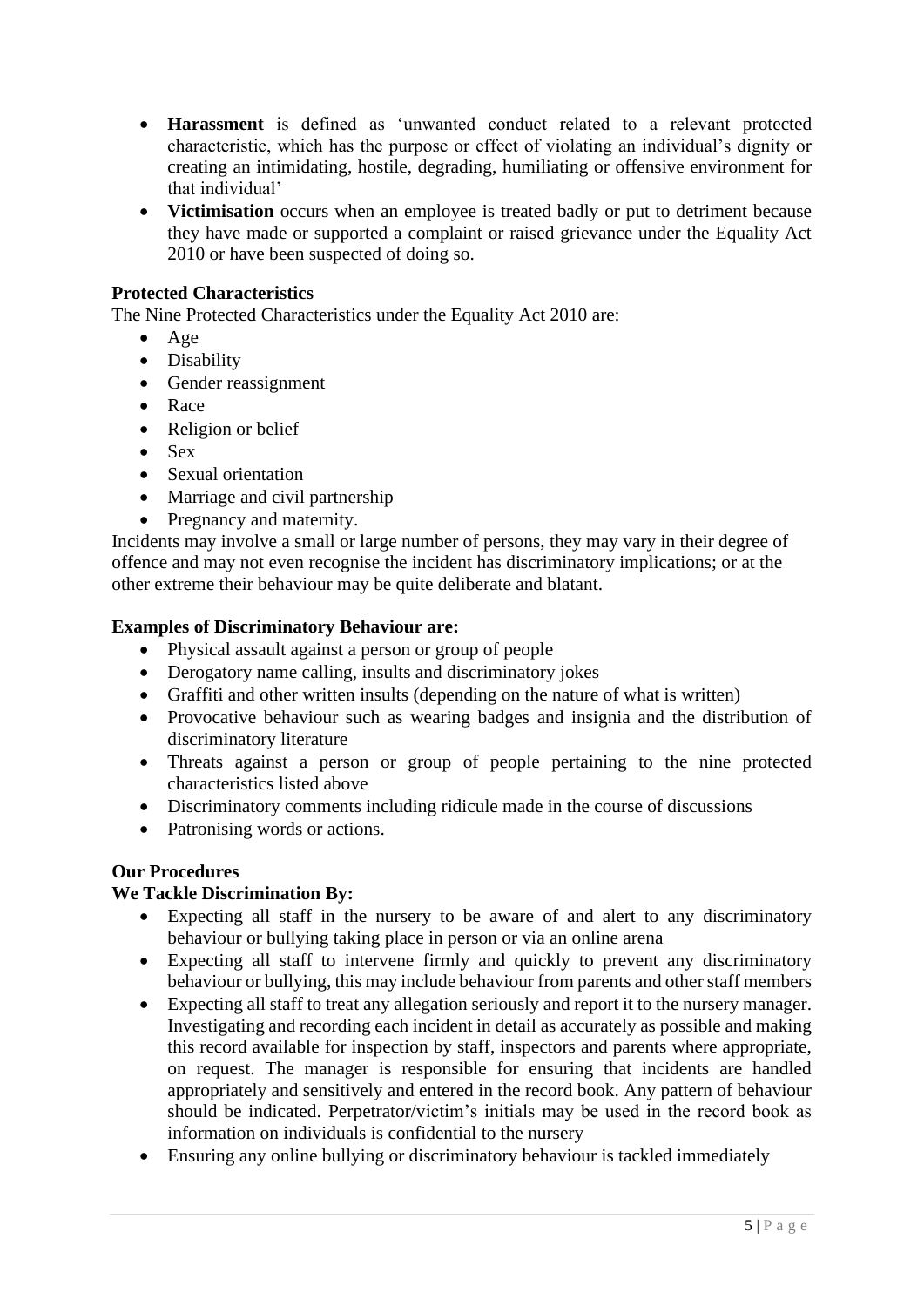- **Harassment** is defined as 'unwanted conduct related to a relevant protected characteristic, which has the purpose or effect of violating an individual's dignity or creating an intimidating, hostile, degrading, humiliating or offensive environment for that individual'
- **Victimisation** occurs when an employee is treated badly or put to detriment because they have made or supported a complaint or raised grievance under the Equality Act 2010 or have been suspected of doing so.

# **Protected Characteristics**

The Nine Protected Characteristics under the Equality Act 2010 are:

- Age
- Disability
- Gender reassignment
- Race
- Religion or belief
- Sex
- Sexual orientation
- Marriage and civil partnership
- Pregnancy and maternity.

Incidents may involve a small or large number of persons, they may vary in their degree of offence and may not even recognise the incident has discriminatory implications; or at the other extreme their behaviour may be quite deliberate and blatant.

#### **Examples of Discriminatory Behaviour are:**

- Physical assault against a person or group of people
- Derogatory name calling, insults and discriminatory jokes
- Graffiti and other written insults (depending on the nature of what is written)
- Provocative behaviour such as wearing badges and insignia and the distribution of discriminatory literature
- Threats against a person or group of people pertaining to the nine protected characteristics listed above
- Discriminatory comments including ridicule made in the course of discussions
- Patronising words or actions.

## **Our Procedures**

# **We Tackle Discrimination By:**

- Expecting all staff in the nursery to be aware of and alert to any discriminatory behaviour or bullying taking place in person or via an online arena
- Expecting all staff to intervene firmly and quickly to prevent any discriminatory behaviour or bullying, this may include behaviour from parents and other staff members
- Expecting all staff to treat any allegation seriously and report it to the nursery manager. Investigating and recording each incident in detail as accurately as possible and making this record available for inspection by staff, inspectors and parents where appropriate, on request. The manager is responsible for ensuring that incidents are handled appropriately and sensitively and entered in the record book. Any pattern of behaviour should be indicated. Perpetrator/victim's initials may be used in the record book as information on individuals is confidential to the nursery
- Ensuring any online bullying or discriminatory behaviour is tackled immediately